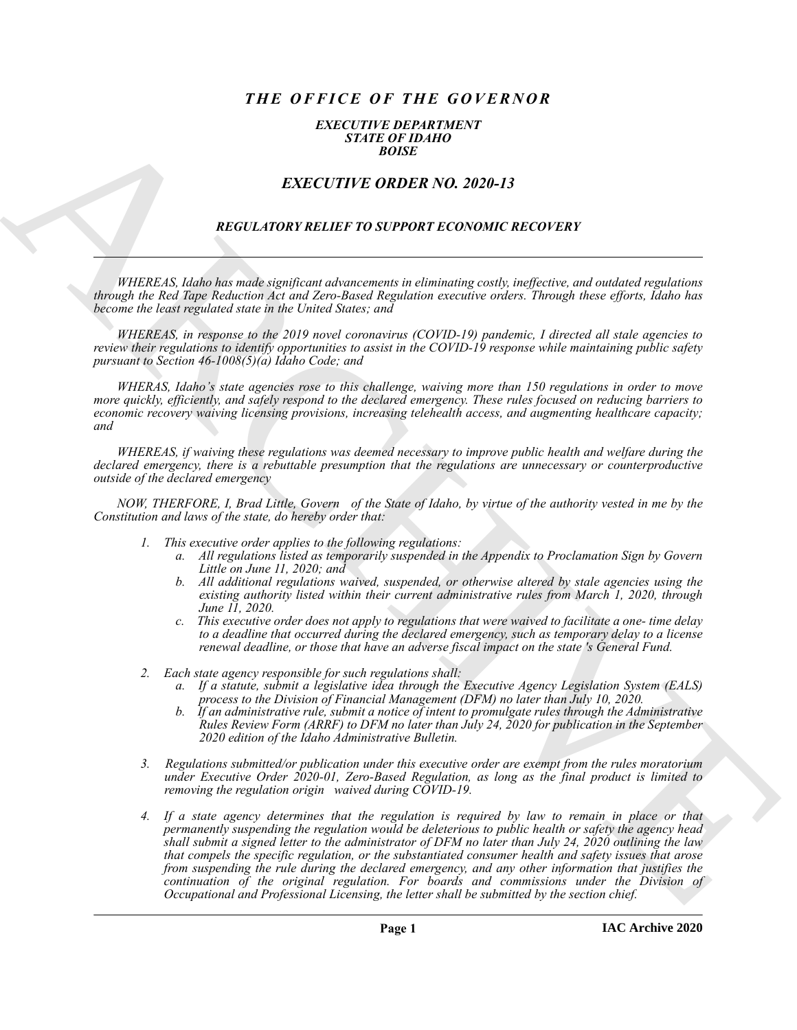# *THE OFFICE OF THE GOVERNOR*

#### *EXECUTIVE DEPARTMENT STATE OF IDAHO BOISE*

## *EXECUTIVE ORDER NO. 2020-13*

### *REGULATORY RELIEF TO SUPPORT ECONOMIC RECOVERY*

*WHEREAS, Idaho has made significant advancements in eliminating costly, ineffective, and outdated regulations through the Red Tape Reduction Act and Zero-Based Regulation executive orders. Through these efforts, Idaho has become the least regulated state in the United States; and*

*WHEREAS, in response to the 2019 novel coronavirus (COVID-19) pandemic, I directed all stale agencies to review their regulations to identify opportunities to assist in the COVID-19 response while maintaining public safety pursuant to Section 46-1008(5)(a) Idaho Code; and*

*WHERAS, Idaho's state agencies rose to this challenge, waiving more than 150 regulations in order to move more quickly, efficiently, and safely respond to the declared emergency. These rules focused on reducing barriers to economic recovery waiving licensing provisions, increasing telehealth access, and augmenting healthcare capacity; and*

*WHEREAS, if waiving these regulations was deemed necessary to improve public health and welfare during the declared emergency, there is a rebuttable presumption that the regulations are unnecessary or counterproductive outside of the declared emergency*

*NOW, THERFORE, I, Brad Little, Govern of the State of Idaho, by virtue of the authority vested in me by the Constitution and laws of the state, do hereby order that:*

- *1. This executive order applies to the following regulations:*
	- *a. All regulations listed as temporarily suspended in the Appendix to Proclamation Sign by Govern Little on June 11, 2020; and*
	- *b. All additional regulations waived, suspended, or otherwise altered by stale agencies using the existing authority listed within their current administrative rules from March 1, 2020, through June 11, 2020.*
	- *c. This executive order does not apply to regulations that were waived to facilitate a one- time delay to a deadline that occurred during the declared emergency, such as temporary delay to a license renewal deadline, or those that have an adverse fiscal impact on the state 's General Fund.*
- *2. Each state agency responsible for such regulations shall:*
	- *a. If a statute, submit a legislative idea through the Executive Agency Legislation System (EALS) process to the Division of Financial Management (DFM) no later than July 10, 2020.*
	- *b. If an administrative rule, submit a notice of intent to promulgate rules through the Administrative Rules Review Form (ARRF) to DFM no later than July 24, 2020 for publication in the September 2020 edition of the Idaho Administrative Bulletin.*
- *3. Regulations submitted/or publication under this executive order are exempt from the rules moratorium under Executive Order 2020-01, Zero-Based Regulation, as long as the final product is limited to removing the regulation origin waived during COVID-19.*
- EXACT THE ORDER NO. 2020-15<br>
EXACT THE ORDER NO. 2020-15<br>
EXACT THE ORDER NO. 2020-15<br>
EXACT THE ORDER NO. 2020-15<br>
EXACT THE ORDER NO. 2020-15<br>
ARCHIVES Significantly in the property in the straight and the internal prop *4. If a state agency determines that the regulation is required by law to remain in place or that permanently suspending the regulation would be deleterious to public health or safety the agency head shall submit a signed letter to the administrator of DFM no later than July 24, 2020 outlining the law that compels the specific regulation, or the substantiated consumer health and safety issues that arose from suspending the rule during the declared emergency, and any other information that justifies the continuation of the original regulation. For boards and commissions under the Division of Occupational and Professional Licensing, the letter shall be submitted by the section chief.*